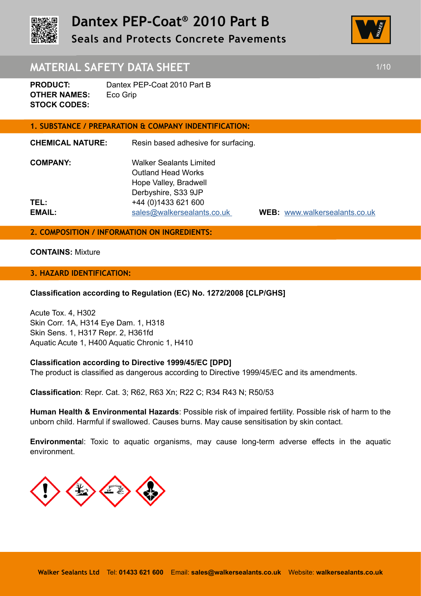



# **MATERIAL SAFETY DATA SHEET 1/10 1/10**

**PRODUCT:** Dantex PEP-Coat 2010 Part B **OTHER NAMES:** Eco Grip **STOCK CODES:** 

### **1. SUBSTANCE / PREPARATION & COMPANY INDENTIFICATION:**

**CHEMICAL NATURE:** Resin based adhesive for surfacing. **COMPANY:** Walker Sealants Limited Outland Head Works Hope Valley, Bradwell Derbyshire, S33 9JP **TEL:** +44 (0)1433 621 600 **EMAIL:** sales@walkersealants.co.uk **WEB:** www.walkersealants.co.uk

#### **2. COMPOSITION / INFORMATION ON INGREDIENTS:**

#### **CONTAINS:** Mixture

#### **3. HAZARD IDENTIFICATION:**

#### **Classification according to Regulation (EC) No. 1272/2008 [CLP/GHS]**

Acute Tox. 4, H302 Skin Corr. 1A, H314 Eye Dam. 1, H318 Skin Sens. 1, H317 Repr. 2, H361fd Aquatic Acute 1, H400 Aquatic Chronic 1, H410

#### **Classification according to Directive 1999/45/EC [DPD]**

The product is classified as dangerous according to Directive 1999/45/EC and its amendments.

**Classification**: Repr. Cat. 3; R62, R63 Xn; R22 C; R34 R43 N; R50/53

**Human Health & Environmental Hazards**: Possible risk of impaired fertility. Possible risk of harm to the unborn child. Harmful if swallowed. Causes burns. May cause sensitisation by skin contact.

**Environmenta**l: Toxic to aquatic organisms, may cause long-term adverse effects in the aquatic environment.

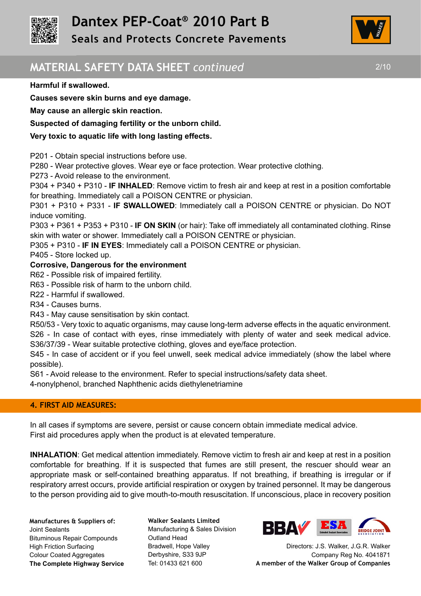



# **MATERIAL SAFETY DATA SHEET** *continued* 2/10

#### **Harmful if swallowed.**

**Causes severe skin burns and eye damage.** 

**May cause an allergic skin reaction.** 

### **Suspected of damaging fertility or the unborn child.**

### **Very toxic to aquatic life with long lasting effects.**

P201 - Obtain special instructions before use.

P280 - Wear protective gloves. Wear eye or face protection. Wear protective clothing.

P273 - Avoid release to the environment.

P304 + P340 + P310 - **IF INHALED**: Remove victim to fresh air and keep at rest in a position comfortable for breathing. Immediately call a POISON CENTRE or physician.

P301 + P310 + P331 - **IF SWALLOWED**: Immediately call a POISON CENTRE or physician. Do NOT induce vomiting.

P303 + P361 + P353 + P310 - **IF ON SKIN** (or hair): Take off immediately all contaminated clothing. Rinse skin with water or shower. Immediately call a POISON CENTRE or physician.

P305 + P310 - **IF IN EYES**: Immediately call a POISON CENTRE or physician.

P405 - Store locked up.

# **Corrosive, Dangerous for the environment**

R62 - Possible risk of impaired fertility.

R63 - Possible risk of harm to the unborn child.

R22 - Harmful if swallowed.

R34 - Causes burns.

R43 - May cause sensitisation by skin contact.

R50/53 - Very toxic to aquatic organisms, may cause long-term adverse effects in the aquatic environment. S26 - In case of contact with eyes, rinse immediately with plenty of water and seek medical advice. S36/37/39 - Wear suitable protective clothing, gloves and eye/face protection.

S45 - In case of accident or if you feel unwell, seek medical advice immediately (show the label where possible).

S61 - Avoid release to the environment. Refer to special instructions/safety data sheet.

4-nonylphenol, branched Naphthenic acids diethylenetriamine

#### **4. FIRST AID MEASURES:**

In all cases if symptoms are severe, persist or cause concern obtain immediate medical advice. First aid procedures apply when the product is at elevated temperature.

**INHALATION**: Get medical attention immediately. Remove victim to fresh air and keep at rest in a position comfortable for breathing. If it is suspected that fumes are still present, the rescuer should wear an appropriate mask or self-contained breathing apparatus. If not breathing, if breathing is irregular or if respiratory arrest occurs, provide artificial respiration or oxygen by trained personnel. It may be dangerous to the person providing aid to give mouth-to-mouth resuscitation. If unconscious, place in recovery position

**Manufactures & Suppliers of:**  Joint Sealants Bituminous Repair Compounds High Friction Surfacing Colour Coated Aggregates **The Complete Highway Service** **Walker Sealants Limited**  Manufacturing & Sales Division Outland Head Bradwell, Hope Valley Derbyshire, S33 9JP Tel: 01433 621 600

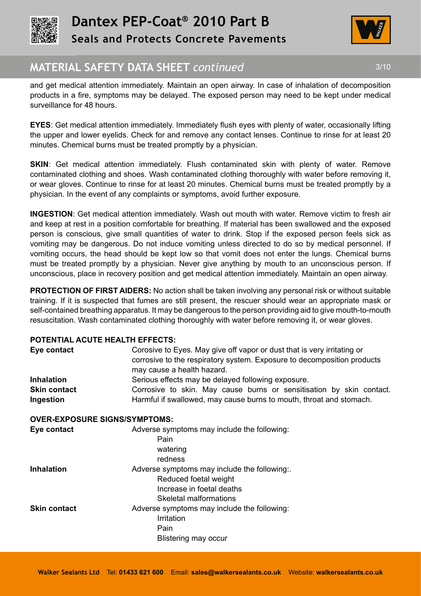



# **MATERIAL SAFETY DATA SHEET** *continued* THE SMATERIAL 3/10

and get medical attention immediately. Maintain an open airway. In case of inhalation of decomposition products in a fire, symptoms may be delayed. The exposed person may need to be kept under medical surveillance for 48 hours.

**EYES**: Get medical attention immediately. Immediately flush eyes with plenty of water, occasionally lifting the upper and lower eyelids. Check for and remove any contact lenses. Continue to rinse for at least 20 minutes. Chemical burns must be treated promptly by a physician.

**SKIN:** Get medical attention immediately. Flush contaminated skin with plenty of water. Remove contaminated clothing and shoes. Wash contaminated clothing thoroughly with water before removing it, or wear gloves. Continue to rinse for at least 20 minutes. Chemical burns must be treated promptly by a physician. In the event of any complaints or symptoms, avoid further exposure.

**INGESTION**: Get medical attention immediately. Wash out mouth with water. Remove victim to fresh air and keep at rest in a position comfortable for breathing. If material has been swallowed and the exposed person is conscious, give small quantities of water to drink. Stop if the exposed person feels sick as vomiting may be dangerous. Do not induce vomiting unless directed to do so by medical personnel. If vomiting occurs, the head should be kept low so that vomit does not enter the lungs. Chemical burns must be treated promptly by a physician. Never give anything by mouth to an unconscious person. If unconscious, place in recovery position and get medical attention immediately. Maintain an open airway.

**PROTECTION OF FIRST AIDERS:** No action shall be taken involving any personal risk or without suitable training. If it is suspected that fumes are still present, the rescuer should wear an appropriate mask or self-contained breathing apparatus. It may be dangerous to the person providing aid to give mouth-to-mouth resuscitation. Wash contaminated clothing thoroughly with water before removing it, or wear gloves.

# **POTENTIAL ACUTE HEALTH EFFECTS:**

| Eye contact                          | Corosive to Eyes. May give off vapor or dust that is very irritating or<br>corrosive to the respiratory system. Exposure to decomposition products<br>may cause a health hazard. |
|--------------------------------------|----------------------------------------------------------------------------------------------------------------------------------------------------------------------------------|
| <b>Inhalation</b>                    | Serious effects may be delayed following exposure.                                                                                                                               |
| <b>Skin contact</b>                  | Corrosive to skin. May cause burns or sensitisation by skin contact.                                                                                                             |
| Ingestion                            | Harmful if swallowed, may cause burns to mouth, throat and stomach.                                                                                                              |
| <b>OVER-EXPOSURE SIGNS/SYMPTOMS:</b> |                                                                                                                                                                                  |
| Eye contact                          | Adverse symptoms may include the following:<br>Pain<br>watering<br>redness                                                                                                       |
| <b>Inhalation</b>                    | Adverse symptoms may include the following:.<br>Reduced foetal weight<br>Increase in foetal deaths<br>Skeletal malformations                                                     |
| <b>Skin contact</b>                  | Adverse symptoms may include the following:<br>Irritation<br>Pain<br>Blistering may occur                                                                                        |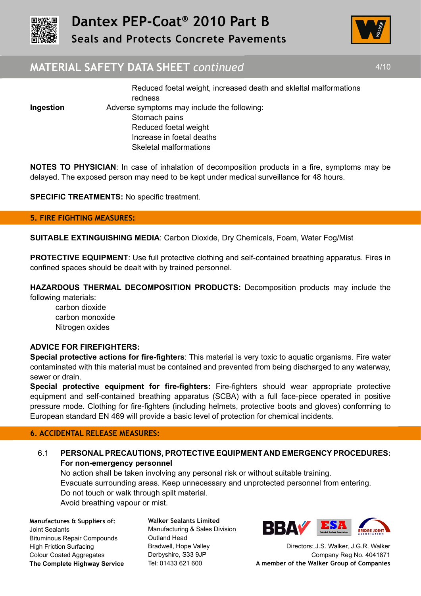



# **MATERIAL SAFETY DATA SHEET** *continued* 4/10

 Reduced foetal weight, increased death and skleltal malformations redness **Ingestion** Adverse symptoms may include the following: Stomach pains Reduced foetal weight Increase in foetal deaths Skeletal malformations

**NOTES TO PHYSICIAN**: In case of inhalation of decomposition products in a fire, symptoms may be delayed. The exposed person may need to be kept under medical surveillance for 48 hours.

**SPECIFIC TREATMENTS:** No specific treatment.

#### **5. FIRE FIGHTING MEASURES:**

**SUITABLE EXTINGUISHING MEDIA**: Carbon Dioxide, Dry Chemicals, Foam, Water Fog/Mist

**PROTECTIVE EQUIPMENT:** Use full protective clothing and self-contained breathing apparatus. Fires in confined spaces should be dealt with by trained personnel.

**HAZARDOUS THERMAL DECOMPOSITION PRODUCTS:** Decomposition products may include the following materials:

carbon dioxide carbon monoxide Nitrogen oxides

#### **ADVICE FOR FIREFIGHTERS:**

**Special protective actions for fire-fighters**: This material is very toxic to aquatic organisms. Fire water contaminated with this material must be contained and prevented from being discharged to any waterway, sewer or drain.

**Special protective equipment for fire-fighters:** Fire-fighters should wear appropriate protective equipment and self-contained breathing apparatus (SCBA) with a full face-piece operated in positive pressure mode. Clothing for fire-fighters (including helmets, protective boots and gloves) conforming to European standard EN 469 will provide a basic level of protection for chemical incidents.

#### **6. ACCIDENTAL RELEASE MEASURES:**

# 6.1 **PERSONAL PRECAUTIONS, PROTECTIVE EQUIPMENT AND EMERGENCY PROCEDURES: For non-emergency personnel**

No action shall be taken involving any personal risk or without suitable training. Evacuate surrounding areas. Keep unnecessary and unprotected personnel from entering. Do not touch or walk through spilt material. Avoid breathing vapour or mist.

**Manufactures & Suppliers of:**  Joint Sealants Bituminous Repair Compounds High Friction Surfacing Colour Coated Aggregates **The Complete Highway Service** **Walker Sealants Limited**  Manufacturing & Sales Division Outland Head Bradwell, Hope Valley Derbyshire, S33 9JP Tel: 01433 621 600

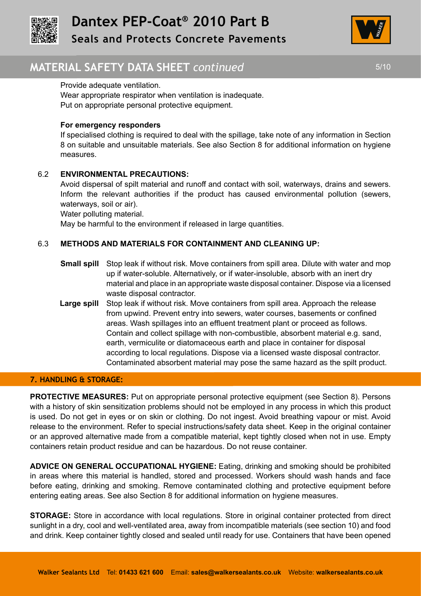



# **MATERIAL SAFETY DATA SHEET** *continued* 5/10

#### Provide adequate ventilation.

Wear appropriate respirator when ventilation is inadequate. Put on appropriate personal protective equipment.

#### **For emergency responders**

If specialised clothing is required to deal with the spillage, take note of any information in Section 8 on suitable and unsuitable materials. See also Section 8 for additional information on hygiene measures.

# 6.2 **ENVIRONMENTAL PRECAUTIONS:**

Avoid dispersal of spilt material and runoff and contact with soil, waterways, drains and sewers. Inform the relevant authorities if the product has caused environmental pollution (sewers, waterways, soil or air).

Water polluting material.

May be harmful to the environment if released in large quantities.

# 6.3 **METHODS AND MATERIALS FOR CONTAINMENT AND CLEANING UP:**

- **Small spill** Stop leak if without risk. Move containers from spill area. Dilute with water and mop up if water-soluble. Alternatively, or if water-insoluble, absorb with an inert dry material and place in an appropriate waste disposal container. Dispose via a licensed waste disposal contractor.
- **Large spill** Stop leak if without risk. Move containers from spill area. Approach the release from upwind. Prevent entry into sewers, water courses, basements or confined areas. Wash spillages into an effluent treatment plant or proceed as follows. Contain and collect spillage with non-combustible, absorbent material e.g. sand, earth, vermiculite or diatomaceous earth and place in container for disposal according to local regulations. Dispose via a licensed waste disposal contractor. Contaminated absorbent material may pose the same hazard as the spilt product.

#### **7. HANDLING & STORAGE:**

**PROTECTIVE MEASURES:** Put on appropriate personal protective equipment (see Section 8). Persons with a history of skin sensitization problems should not be employed in any process in which this product is used. Do not get in eyes or on skin or clothing. Do not ingest. Avoid breathing vapour or mist. Avoid release to the environment. Refer to special instructions/safety data sheet. Keep in the original container or an approved alternative made from a compatible material, kept tightly closed when not in use. Empty containers retain product residue and can be hazardous. Do not reuse container.

**ADVICE ON GENERAL OCCUPATIONAL HYGIENE:** Eating, drinking and smoking should be prohibited in areas where this material is handled, stored and processed. Workers should wash hands and face before eating, drinking and smoking. Remove contaminated clothing and protective equipment before entering eating areas. See also Section 8 for additional information on hygiene measures.

**STORAGE:** Store in accordance with local regulations. Store in original container protected from direct sunlight in a dry, cool and well-ventilated area, away from incompatible materials (see section 10) and food and drink. Keep container tightly closed and sealed until ready for use. Containers that have been opened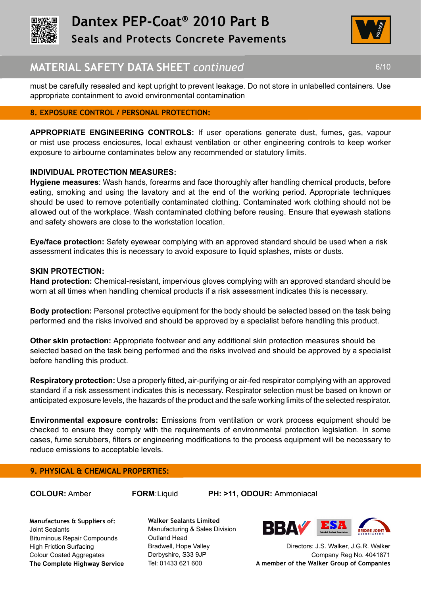



# **MATERIAL SAFETY DATA SHEET** *continued* 6/10

must be carefully resealed and kept upright to prevent leakage. Do not store in unlabelled containers. Use appropriate containment to avoid environmental contamination

# **8. EXPOSURE CONTROL / PERSONAL PROTECTION:**

**APPROPRIATE ENGINEERING CONTROLS:** If user operations generate dust, fumes, gas, vapour or mist use process enciosures, local exhaust ventilation or other engineering controls to keep worker exposure to airbourne contaminates below any recommended or statutory limits.

# **INDIVIDUAL PROTECTION MEASURES:**

**Hygiene measures**: Wash hands, forearms and face thoroughly after handling chemical products, before eating, smoking and using the lavatory and at the end of the working period. Appropriate techniques should be used to remove potentially contaminated clothing. Contaminated work clothing should not be allowed out of the workplace. Wash contaminated clothing before reusing. Ensure that eyewash stations and safety showers are close to the workstation location.

**Eye/face protection:** Safety eyewear complying with an approved standard should be used when a risk assessment indicates this is necessary to avoid exposure to liquid splashes, mists or dusts.

# **SKIN PROTECTION:**

**Hand protection:** Chemical-resistant, impervious gloves complying with an approved standard should be worn at all times when handling chemical products if a risk assessment indicates this is necessary.

**Body protection:** Personal protective equipment for the body should be selected based on the task being performed and the risks involved and should be approved by a specialist before handling this product.

**Other skin protection:** Appropriate footwear and any additional skin protection measures should be selected based on the task being performed and the risks involved and should be approved by a specialist before handling this product.

**Respiratory protection:** Use a properly fitted, air-purifying or air-fed respirator complying with an approved standard if a risk assessment indicates this is necessary. Respirator selection must be based on known or anticipated exposure levels, the hazards of the product and the safe working limits of the selected respirator.

**Environmental exposure controls:** Emissions from ventilation or work process equipment should be checked to ensure they comply with the requirements of environmental protection legislation. In some cases, fume scrubbers, filters or engineering modifications to the process equipment will be necessary to reduce emissions to acceptable levels.

#### **9. PHYSICAL & CHEMICAL PROPERTIES:**

**COLOUR:** Amber **FORM**:Liquid **PH: >11, ODOUR:** Ammoniacal

**Manufactures & Suppliers of:**  Joint Sealants Bituminous Repair Compounds High Friction Surfacing Colour Coated Aggregates **The Complete Highway Service** **Walker Sealants Limited**  Manufacturing & Sales Division Outland Head Bradwell, Hope Valley Derbyshire, S33 9JP Tel: 01433 621 600

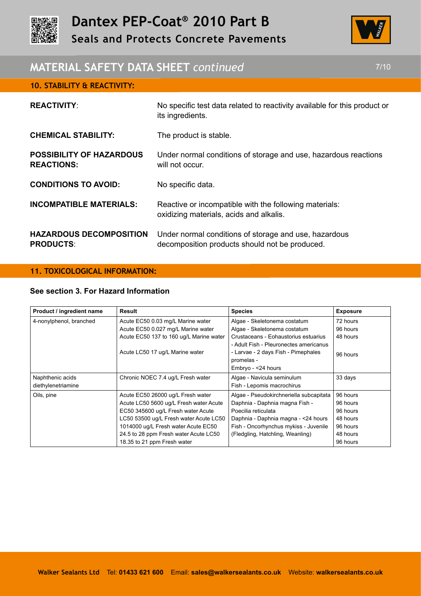



# **MATERIAL SAFETY DATA SHEET** *continued* 7/10

| <b>REACTIVITY:</b>                                   | No specific test data related to reactivity available for this product or<br>its ingredients.           |
|------------------------------------------------------|---------------------------------------------------------------------------------------------------------|
| <b>CHEMICAL STABILITY:</b>                           | The product is stable.                                                                                  |
| <b>POSSIBILITY OF HAZARDOUS</b><br><b>REACTIONS:</b> | Under normal conditions of storage and use, hazardous reactions<br>will not occur.                      |
| <b>CONDITIONS TO AVOID:</b>                          | No specific data.                                                                                       |
| <b>INCOMPATIBLE MATERIALS:</b>                       | Reactive or incompatible with the following materials:<br>oxidizing materials, acids and alkalis.       |
| <b>HAZARDOUS DECOMPOSITION</b><br><b>PRODUCTS:</b>   | Under normal conditions of storage and use, hazardous<br>decomposition products should not be produced. |

#### **11. TOXICOLOGICAL INFORMATION:**

**10. STABILITY & REACTIVITY:**

# **See section 3. For Hazard Information**

| Product / ingredient name | Result                                  | <b>Species</b>                          | <b>Exposure</b> |
|---------------------------|-----------------------------------------|-----------------------------------------|-----------------|
| 4-nonylphenol, branched   | Acute EC50 0.03 mg/L Marine water       | Algae - Skeletonema costatum            | 72 hours        |
|                           | Acute EC50 0.027 mg/L Marine water      | Algae - Skeletonema costatum            | 96 hours        |
|                           | Acute EC50 137 to 160 ug/L Marine water | Crustaceans - Eohaustorius estuarius    | 48 hours        |
|                           |                                         | - Adult Fish - Pleuronectes americanus  |                 |
|                           | Acute LC50 17 ug/L Marine water         | - Larvae - 2 days Fish - Pimephales     | 96 hours        |
|                           |                                         | promelas -                              |                 |
|                           |                                         | Embryo - <24 hours                      |                 |
| Naphthenic acids          | Chronic NOEC 7.4 ug/L Fresh water       | Algae - Navicula seminulum              | 33 days         |
| diethylenetriamine        |                                         | Fish - Lepomis macrochirus              |                 |
| Oils, pine                | Acute EC50 26000 ug/L Fresh water       | Algae - Pseudokirchneriella subcapitata | 96 hours        |
|                           | Acute LC50 5600 ug/L Fresh water Acute  | Daphnia - Daphnia magna Fish -          | 96 hours        |
|                           | EC50 345600 ug/L Fresh water Acute      | Poecilia reticulata                     | 96 hours        |
|                           | LC50 53500 ug/L Fresh water Acute LC50  | Daphnia - Daphnia magna - < 24 hours    | 48 hours        |
|                           | 1014000 ug/L Fresh water Acute EC50     | Fish - Oncorhynchus mykiss - Juvenile   | 96 hours        |
|                           | 24.5 to 28 ppm Fresh water Acute LC50   | (Fledgling, Hatchling, Weanling)        | 48 hours        |
|                           | 18.35 to 21 ppm Fresh water             |                                         | 96 hours        |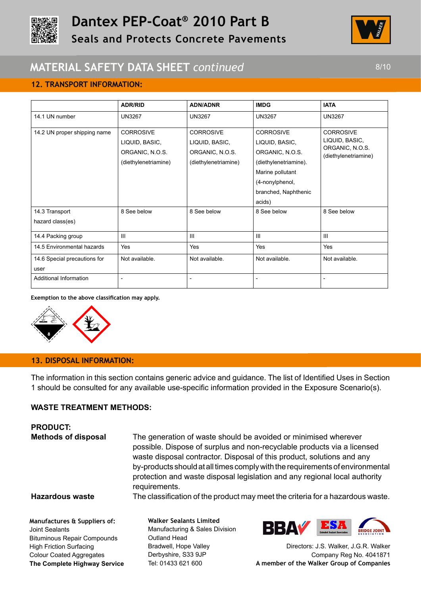



# **MATERIAL SAFETY DATA SHEET** *continued* 8/10

# **12. TRANSPORT INFORMATION:**

|                                      | <b>ADR/RID</b>                                                                | <b>ADN/ADNR</b>                                                               | <b>IMDG</b>                                                                                                                                             | <b>IATA</b>                                                                   |
|--------------------------------------|-------------------------------------------------------------------------------|-------------------------------------------------------------------------------|---------------------------------------------------------------------------------------------------------------------------------------------------------|-------------------------------------------------------------------------------|
| 14.1 UN number                       | <b>UN3267</b>                                                                 | <b>UN3267</b>                                                                 | <b>UN3267</b>                                                                                                                                           | <b>UN3267</b>                                                                 |
| 14.2 UN proper shipping name         | <b>CORROSIVE</b><br>LIQUID, BASIC,<br>ORGANIC, N.O.S.<br>(diethylenetriamine) | <b>CORROSIVE</b><br>LIQUID, BASIC,<br>ORGANIC, N.O.S.<br>(diethylenetriamine) | <b>CORROSIVE</b><br>LIQUID, BASIC,<br>ORGANIC, N.O.S.<br>(diethylenetriamine).<br>Marine pollutant<br>(4-nonylphenol,<br>branched, Naphthenic<br>acids) | <b>CORROSIVE</b><br>LIQUID, BASIC,<br>ORGANIC, N.O.S.<br>(diethylenetriamine) |
| 14.3 Transport<br>hazard class(es)   | 8 See below                                                                   | 8 See below                                                                   | 8 See below                                                                                                                                             | 8 See below                                                                   |
| 14.4 Packing group                   | III                                                                           | $\mathbf{III}$                                                                | III                                                                                                                                                     | $\mathbf{III}$                                                                |
| 14.5 Environmental hazards           | Yes                                                                           | Yes                                                                           | Yes                                                                                                                                                     | Yes                                                                           |
| 14.6 Special precautions for<br>user | Not available.                                                                | Not available.                                                                | Not available.                                                                                                                                          | Not available.                                                                |
| Additional Information               |                                                                               |                                                                               |                                                                                                                                                         |                                                                               |

**Exemption to the above classification may apply.**



Colour Coated Aggregates **The Complete Highway Service**

# **13. DISPOSAL INFORMATION:**

The information in this section contains generic advice and guidance. The list of Identified Uses in Section 1 should be consulted for any available use-specific information provided in the Exposure Scenario(s).

#### **WASTE TREATMENT METHODS:**

| <b>PRODUCT:</b><br><b>Methods of disposal</b>                                                                          | The generation of waste should be avoided or minimised wherever<br>waste disposal contractor. Disposal of this product, solutions and any<br>requirements. | possible. Dispose of surplus and non-recyclable products via a licensed<br>by-products should at all times comply with the requirements of environmental<br>protection and waste disposal legislation and any regional local authority |
|------------------------------------------------------------------------------------------------------------------------|------------------------------------------------------------------------------------------------------------------------------------------------------------|----------------------------------------------------------------------------------------------------------------------------------------------------------------------------------------------------------------------------------------|
| <b>Hazardous waste</b>                                                                                                 |                                                                                                                                                            | The classification of the product may meet the criteria for a hazardous waste.                                                                                                                                                         |
| Manufactures & Suppliers of:<br>Joint Sealants<br><b>Bituminous Repair Compounds</b><br><b>High Friction Surfacing</b> | <b>Walker Sealants Limited</b><br>Manufacturing & Sales Division<br>Outland Head<br>Bradwell, Hope Valley                                                  | <b>BBAV</b><br>Directors: J.S. Walker, J.G.R. Walker                                                                                                                                                                                   |

Derbyshire, S33 9JP Tel: 01433 621 600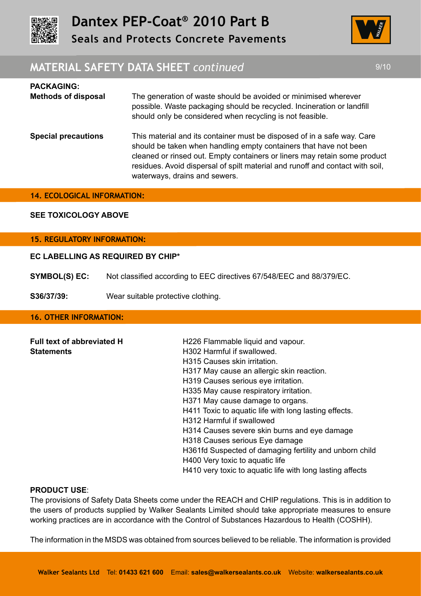



# **MATERIAL SAFETY DATA SHEET** *continued* 8/10

| <b>PACKAGING:</b><br><b>Methods of disposal</b> | The generation of waste should be avoided or minimised wherever<br>possible. Waste packaging should be recycled. Incineration or landfill<br>should only be considered when recycling is not feasible.                                                                                                                                      |
|-------------------------------------------------|---------------------------------------------------------------------------------------------------------------------------------------------------------------------------------------------------------------------------------------------------------------------------------------------------------------------------------------------|
| <b>Special precautions</b>                      | This material and its container must be disposed of in a safe way. Care<br>should be taken when handling empty containers that have not been<br>cleaned or rinsed out. Empty containers or liners may retain some product<br>residues. Avoid dispersal of spilt material and runoff and contact with soil,<br>waterways, drains and sewers. |

#### **14. ECOLOGICAL INFORMATION:**

#### **SEE TOXICOLOGY ABOVE**

# **15. REGULATORY INFORMATION:**

#### **EC LABELLING AS REQUIRED BY CHIP\***

**SYMBOL(S) EC:** Not classified according to EEC directives 67/548/EEC and 88/379/EC.

**S36/37/39:** Wear suitable protective clothing.

#### **16. OTHER INFORMATION:**

| <b>Full text of abbreviated H</b> | H226 Flammable liquid and vapour.                         |
|-----------------------------------|-----------------------------------------------------------|
| <b>Statements</b>                 | H302 Harmful if swallowed.                                |
|                                   | H315 Causes skin irritation.                              |
|                                   | H317 May cause an allergic skin reaction.                 |
|                                   | H319 Causes serious eye irritation.                       |
|                                   | H335 May cause respiratory irritation.                    |
|                                   | H371 May cause damage to organs.                          |
|                                   | H411 Toxic to aquatic life with long lasting effects.     |
|                                   | H312 Harmful if swallowed                                 |
|                                   | H314 Causes severe skin burns and eye damage              |
|                                   | H318 Causes serious Eye damage                            |
|                                   | H361fd Suspected of damaging fertility and unborn child   |
|                                   | H400 Very toxic to aquatic life                           |
|                                   | H410 very toxic to aquatic life with long lasting affects |

#### **PRODUCT USE**:

The provisions of Safety Data Sheets come under the REACH and CHIP regulations. This is in addition to the users of products supplied by Walker Sealants Limited should take appropriate measures to ensure working practices are in accordance with the Control of Substances Hazardous to Health (COSHH).

The information in the MSDS was obtained from sources believed to be reliable. The information is provided